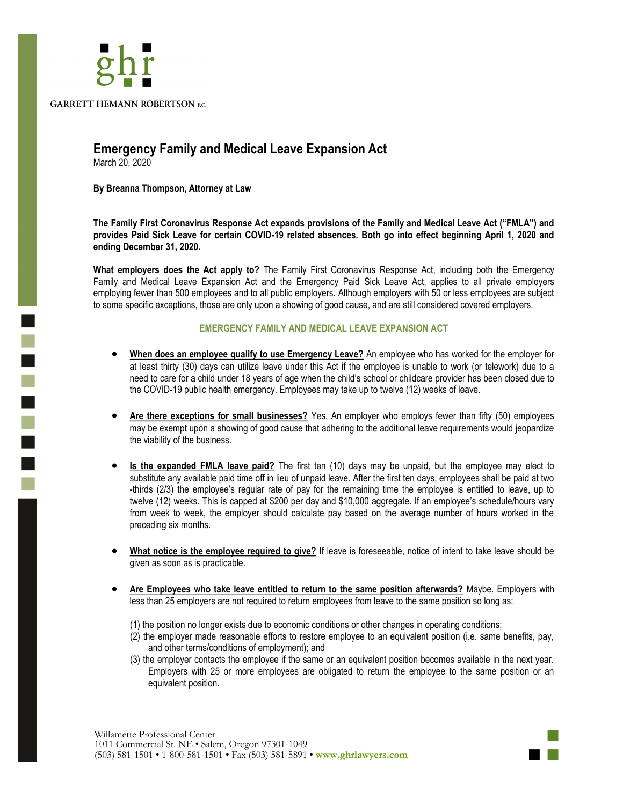

## **Emergency Family and Medical Leave Expansion Act**

March 20, 2020

 $\overline{\phantom{a}}$ 

**By Breanna Thompson, Attorney at Law** 

**The Family First Coronavirus Response Act expands provisions of the Family and Medical Leave Act ("FMLA") and**  provides Paid Sick Leave for certain COVID-19 related absences. Both go into effect beginning April 1, 2020 and **ending December 31, 2020.** 

**What employers does the Act apply to?** The Family First Coronavirus Response Act, including both the Emergency Family and Medical Leave Expansion Act and the Emergency Paid Sick Leave Act, applies to all private employers employing fewer than 500 employees and to all public employers. Although employers with 50 or less employees are subject to some specific exceptions, those are only upon a showing of good cause, and are still considered covered employers.

## **EMERGENCY FAMILY AND MEDICAL LEAVE EXPANSION ACT**

- **When does an employee qualify to use Emergency Leave?** An employee who has worked for the employer for at least thirty (30) days can utilize leave under this Act if the employee is unable to work (or telework) due to a need to care for a child under 18 years of age when the child's school or childcare provider has been closed due to the COVID-19 public health emergency. Employees may take up to twelve (12) weeks of leave.
- **Are there exceptions for small businesses?** Yes. An employer who employs fewer than fifty (50) employees may be exempt upon a showing of good cause that adhering to the additional leave requirements would jeopardize the viability of the business.
- **Is the expanded FMLA leave paid?** The first ten (10) days may be unpaid, but the employee may elect to substitute any available paid time off in lieu of unpaid leave. After the first ten days, employees shall be paid at two -thirds (2/3) the employee's regular rate of pay for the remaining time the employee is entitled to leave, up to twelve (12) weeks. This is capped at \$200 per day and \$10,000 aggregate. If an employee's schedule/hours vary from week to week, the employer should calculate pay based on the average number of hours worked in the preceding six months.
- **What notice is the employee required to give?** If leave is foreseeable, notice of intent to take leave should be given as soon as is practicable.
- **Are Employees who take leave entitled to return to the same position afterwards?** Maybe. Employers with less than 25 employers are not required to return employees from leave to the same position so long as:
	- (1) the position no longer exists due to economic conditions or other changes in operating conditions;
	- (2) the employer made reasonable efforts to restore employee to an equivalent position (i.e. same benefits, pay, and other terms/conditions of employment); and
	- (3) the employer contacts the employee if the same or an equivalent position becomes available in the next year. Employers with 25 or more employees are obligated to return the employee to the same position or an equivalent position.

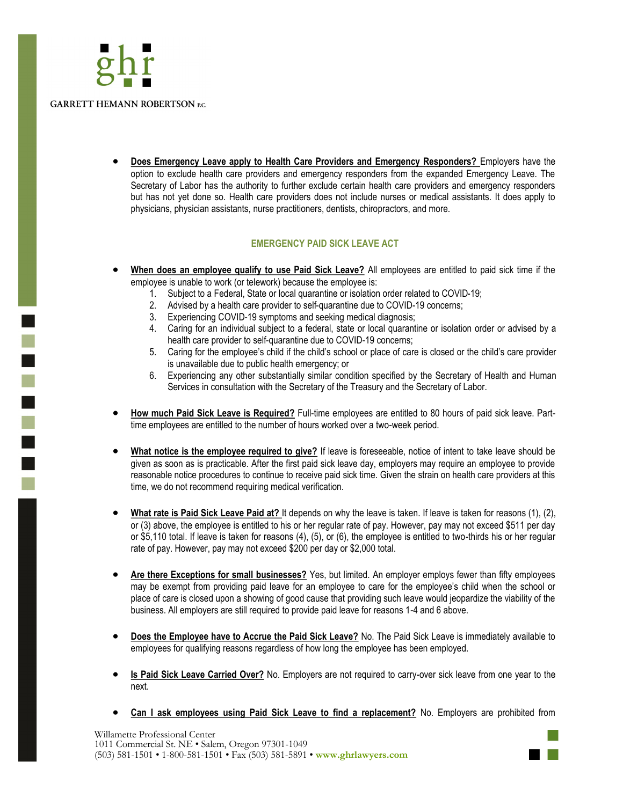

ī

• **Does Emergency Leave apply to Health Care Providers and Emergency Responders?** Employers have the option to exclude health care providers and emergency responders from the expanded Emergency Leave. The Secretary of Labor has the authority to further exclude certain health care providers and emergency responders but has not yet done so. Health care providers does not include nurses or medical assistants. It does apply to physicians, physician assistants, nurse practitioners, dentists, chiropractors, and more.

## **EMERGENCY PAID SICK LEAVE ACT**

- **When does an employee qualify to use Paid Sick Leave?** All employees are entitled to paid sick time if the employee is unable to work (or telework) because the employee is:
	- 1. Subject to a Federal, State or local quarantine or isolation order related to COVID-19;
	- 2. Advised by a health care provider to self-quarantine due to COVID-19 concerns;
	- 3. Experiencing COVID-19 symptoms and seeking medical diagnosis;
	- 4. Caring for an individual subject to a federal, state or local quarantine or isolation order or advised by a health care provider to self-quarantine due to COVID-19 concerns;
	- 5. Caring for the employee's child if the child's school or place of care is closed or the child's care provider is unavailable due to public health emergency; or
	- 6. Experiencing any other substantially similar condition specified by the Secretary of Health and Human Services in consultation with the Secretary of the Treasury and the Secretary of Labor.
- **How much Paid Sick Leave is Required?** Full-time employees are entitled to 80 hours of paid sick leave. Parttime employees are entitled to the number of hours worked over a two-week period.
- **What notice is the employee required to give?** If leave is foreseeable, notice of intent to take leave should be given as soon as is practicable. After the first paid sick leave day, employers may require an employee to provide reasonable notice procedures to continue to receive paid sick time. Given the strain on health care providers at this time, we do not recommend requiring medical verification.
- **What rate is Paid Sick Leave Paid at?** It depends on why the leave is taken. If leave is taken for reasons (1), (2), or (3) above, the employee is entitled to his or her regular rate of pay. However, pay may not exceed \$511 per day or \$5,110 total. If leave is taken for reasons (4), (5), or (6), the employee is entitled to two-thirds his or her regular rate of pay. However, pay may not exceed \$200 per day or \$2,000 total.
- **Are there Exceptions for small businesses?** Yes, but limited. An employer employs fewer than fifty employees may be exempt from providing paid leave for an employee to care for the employee's child when the school or place of care is closed upon a showing of good cause that providing such leave would jeopardize the viability of the business. All employers are still required to provide paid leave for reasons 1-4 and 6 above.
- **Does the Employee have to Accrue the Paid Sick Leave?** No. The Paid Sick Leave is immediately available to employees for qualifying reasons regardless of how long the employee has been employed.
- **Is Paid Sick Leave Carried Over?** No. Employers are not required to carry-over sick leave from one year to the next.
- **Can I ask employees using Paid Sick Leave to find a replacement?** No. Employers are prohibited from

Willamette Professional Center 1011 Commercial St. NE • Salem, Oregon 97301-1049 (503) 581-1501 • 1-800-581-1501 • Fax (503) 581-5891 • **www.ghrlawyers.com**